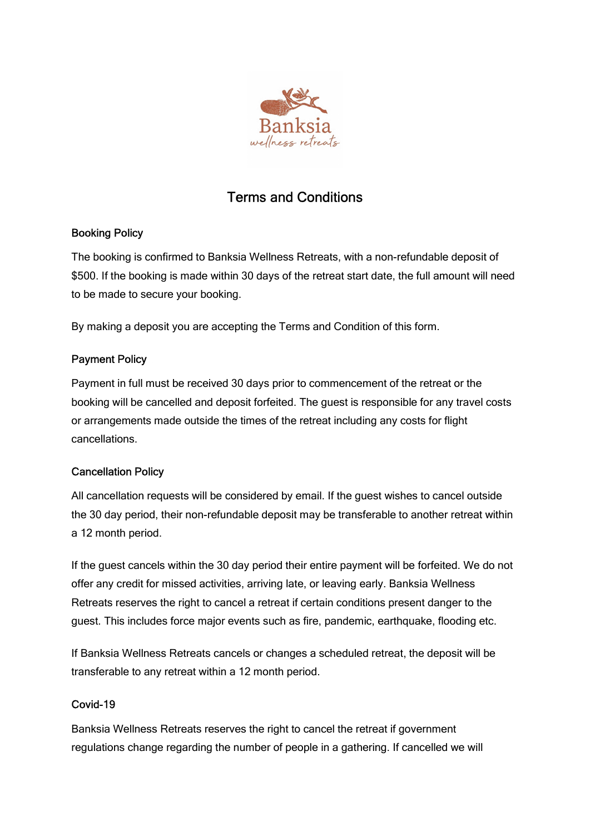

# Terms and Conditions

## Booking Policy

The booking is confirmed to Banksia Wellness Retreats, with a non-refundable deposit of \$500. If the booking is made within 30 days of the retreat start date, the full amount will need to be made to secure your booking.

By making a deposit you are accepting the Terms and Condition of this form.

# Payment Policy

Payment in full must be received 30 days prior to commencement of the retreat or the booking will be cancelled and deposit forfeited. The guest is responsible for any travel costs or arrangements made outside the times of the retreat including any costs for flight cancellations.

## Cancellation Policy

All cancellation requests will be considered by email. If the guest wishes to cancel outside the 30 day period, their non-refundable deposit may be transferable to another retreat within a 12 month period.

If the guest cancels within the 30 day period their entire payment will be forfeited. We do not offer any credit for missed activities, arriving late, or leaving early. Banksia Wellness Retreats reserves the right to cancel a retreat if certain conditions present danger to the guest. This includes force major events such as fire, pandemic, earthquake, flooding etc.

If Banksia Wellness Retreats cancels or changes a scheduled retreat, the deposit will be transferable to any retreat within a 12 month period.

# Covid-19

Banksia Wellness Retreats reserves the right to cancel the retreat if government regulations change regarding the number of people in a gathering. If cancelled we will